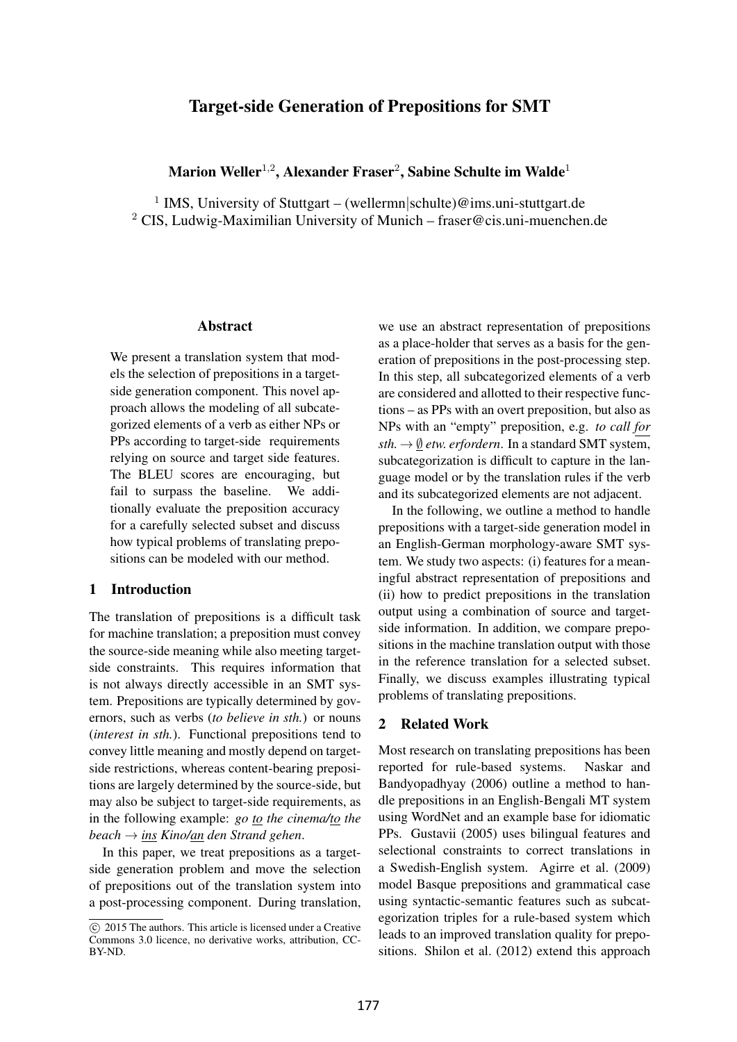# Target-side Generation of Prepositions for SMT

# Marion Weller<sup>1,2</sup>, Alexander Fraser<sup>2</sup>, Sabine Schulte im Walde<sup>1</sup>

<sup>1</sup> IMS, University of Stuttgart – (wellermn schulte)@ims.uni-stuttgart.de <sup>2</sup> CIS, Ludwig-Maximilian University of Munich – fraser@cis.uni-muenchen.de

#### Abstract

We present a translation system that models the selection of prepositions in a targetside generation component. This novel approach allows the modeling of all subcategorized elements of a verb as either NPs or PPs according to target-side requirements relying on source and target side features. The BLEU scores are encouraging, but fail to surpass the baseline. We additionally evaluate the preposition accuracy for a carefully selected subset and discuss how typical problems of translating prepositions can be modeled with our method.

## 1 Introduction

The translation of prepositions is a difficult task for machine translation; a preposition must convey the source-side meaning while also meeting targetside constraints. This requires information that is not always directly accessible in an SMT system. Prepositions are typically determined by governors, such as verbs (*to believe in sth.*) or nouns (*interest in sth.*). Functional prepositions tend to convey little meaning and mostly depend on targetside restrictions, whereas content-bearing prepositions are largely determined by the source-side, but may also be subject to target-side requirements, as in the following example: *go to the cinema/to the beach* → *ins Kino/an den Strand gehen*.

In this paper, we treat prepositions as a targetside generation problem and move the selection of prepositions out of the translation system into a post-processing component. During translation,

we use an abstract representation of prepositions as a place-holder that serves as a basis for the generation of prepositions in the post-processing step. In this step, all subcategorized elements of a verb are considered and allotted to their respective functions – as PPs with an overt preposition, but also as NPs with an "empty" preposition, e.g. *to call for*  $sth. \rightarrow \emptyset$  *etw. erfordern.* In a standard SMT system, subcategorization is difficult to capture in the language model or by the translation rules if the verb and its subcategorized elements are not adjacent.

In the following, we outline a method to handle prepositions with a target-side generation model in an English-German morphology-aware SMT system. We study two aspects: (i) features for a meaningful abstract representation of prepositions and (ii) how to predict prepositions in the translation output using a combination of source and targetside information. In addition, we compare prepositions in the machine translation output with those in the reference translation for a selected subset. Finally, we discuss examples illustrating typical problems of translating prepositions.

# 2 Related Work

Most research on translating prepositions has been reported for rule-based systems. Naskar and Bandyopadhyay (2006) outline a method to handle prepositions in an English-Bengali MT system using WordNet and an example base for idiomatic PPs. Gustavii (2005) uses bilingual features and selectional constraints to correct translations in a Swedish-English system. Agirre et al. (2009) model Basque prepositions and grammatical case using syntactic-semantic features such as subcategorization triples for a rule-based system which leads to an improved translation quality for prepositions. Shilon et al. (2012) extend this approach

<sup>�</sup>c 2015 The authors. This article is licensed under a Creative Commons 3.0 licence, no derivative works, attribution, CC-BY-ND.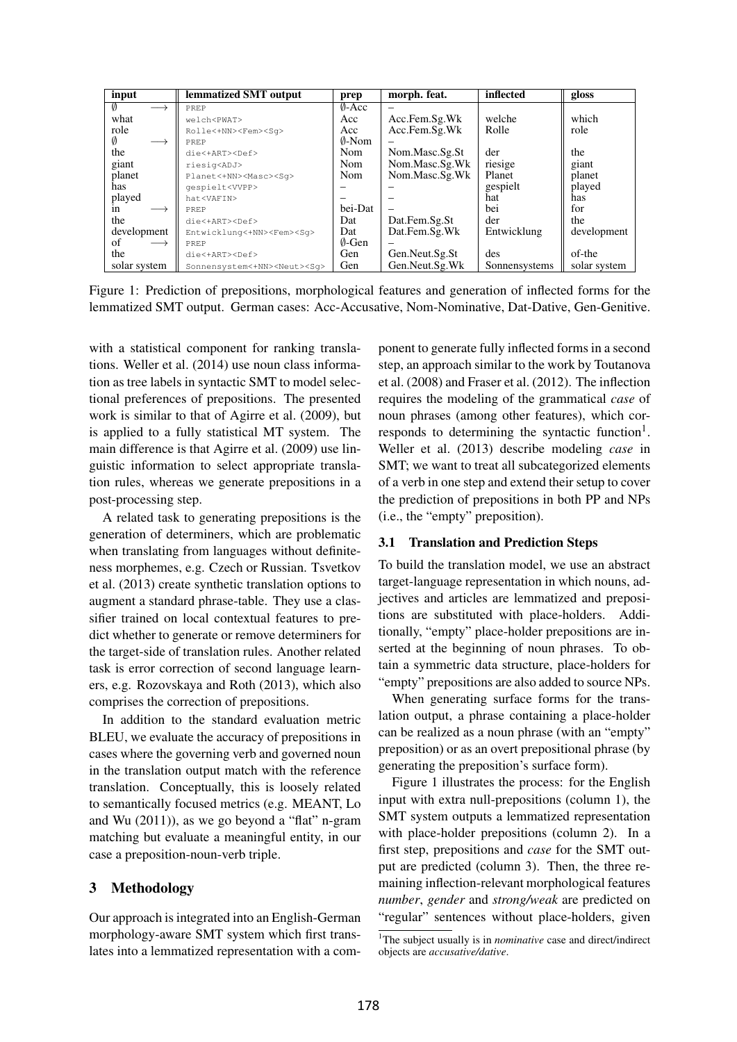| input                   | lemmatized SMT output                    | prep             | morph. feat.   | inflected     | gloss        |
|-------------------------|------------------------------------------|------------------|----------------|---------------|--------------|
| Ø                       | PREP                                     | $0-Acc$          | -              |               |              |
| what                    | welch <pwat></pwat>                      | Acc              | Acc.Fem.Sg.Wk  | welche        | which        |
| role                    | Rolle<+NN> <fem><sq></sq></fem>          | Acc              | Acc.Fem.Sg.Wk  | Rolle         | role         |
| Ø                       | PREP                                     | $\emptyset$ -Nom |                |               |              |
| the                     | disclART> <def></def>                    | <b>Nom</b>       | Nom.Masc.Sg.St | der           | the          |
| giant                   | riesig <adj></adj>                       | <b>Nom</b>       | Nom.Masc.Sg.Wk | riesige       | giant        |
| planet                  | Planet<+NN> <masc><sq></sq></masc>       | Nom              | Nom.Masc.Sg.Wk | Planet        | planet       |
| has                     | qespielt <vvpp></vvpp>                   |                  |                | gespielt      | played       |
| played                  | hat <vafin></vafin>                      |                  |                | hat           | has          |
| 1n                      | PREP                                     | bei-Dat          | $\equiv$       | bei           | for          |
| the                     | $disc+ART>F>$                            | Dat              | Dat.Fem.Sg.St  | der           | the          |
| development             | Entwicklung<+NN> <fem><sq></sq></fem>    | Dat              | Dat.Fem.Sg.Wk  | Entwicklung   | development  |
| of<br>$\longrightarrow$ | PREP                                     | $\emptyset$ -Gen |                |               |              |
| the                     | die<+ART> <def></def>                    | <b>Gen</b>       | Gen.Neut.Sg.St | des           | of-the       |
| solar system            | Sonnensystem<+NN> <neut><sq></sq></neut> | Gen              | Gen.Neut.Sg.Wk | Sonnensystems | solar system |

Figure 1: Prediction of prepositions, morphological features and generation of inflected forms for the lemmatized SMT output. German cases: Acc-Accusative, Nom-Nominative, Dat-Dative, Gen-Genitive.

with a statistical component for ranking translations. Weller et al. (2014) use noun class information as tree labels in syntactic SMT to model selectional preferences of prepositions. The presented work is similar to that of Agirre et al. (2009), but is applied to a fully statistical MT system. The main difference is that Agirre et al. (2009) use linguistic information to select appropriate translation rules, whereas we generate prepositions in a post-processing step.

A related task to generating prepositions is the generation of determiners, which are problematic when translating from languages without definiteness morphemes, e.g. Czech or Russian. Tsvetkov et al. (2013) create synthetic translation options to augment a standard phrase-table. They use a classifier trained on local contextual features to predict whether to generate or remove determiners for the target-side of translation rules. Another related task is error correction of second language learners, e.g. Rozovskaya and Roth (2013), which also comprises the correction of prepositions.

In addition to the standard evaluation metric BLEU, we evaluate the accuracy of prepositions in cases where the governing verb and governed noun in the translation output match with the reference translation. Conceptually, this is loosely related to semantically focused metrics (e.g. MEANT, Lo and Wu (2011)), as we go beyond a "flat" n-gram matching but evaluate a meaningful entity, in our case a preposition-noun-verb triple.

# 3 Methodology

Our approach is integrated into an English-German morphology-aware SMT system which first translates into a lemmatized representation with a component to generate fully inflected forms in a second step, an approach similar to the work by Toutanova et al. (2008) and Fraser et al. (2012). The inflection requires the modeling of the grammatical *case* of noun phrases (among other features), which corresponds to determining the syntactic function<sup>1</sup>. Weller et al. (2013) describe modeling *case* in SMT; we want to treat all subcategorized elements of a verb in one step and extend their setup to cover the prediction of prepositions in both PP and NPs (i.e., the "empty" preposition).

## 3.1 Translation and Prediction Steps

To build the translation model, we use an abstract target-language representation in which nouns, adjectives and articles are lemmatized and prepositions are substituted with place-holders. Additionally, "empty" place-holder prepositions are inserted at the beginning of noun phrases. To obtain a symmetric data structure, place-holders for "empty" prepositions are also added to source NPs.

When generating surface forms for the translation output, a phrase containing a place-holder can be realized as a noun phrase (with an "empty" preposition) or as an overt prepositional phrase (by generating the preposition's surface form).

Figure 1 illustrates the process: for the English input with extra null-prepositions (column 1), the SMT system outputs a lemmatized representation with place-holder prepositions (column 2). In a first step, prepositions and *case* for the SMT output are predicted (column 3). Then, the three remaining inflection-relevant morphological features *number*, *gender* and *strong/weak* are predicted on "regular" sentences without place-holders, given

<sup>&</sup>lt;sup>1</sup>The subject usually is in *nominative* case and direct/indirect objects are *accusative/dative*.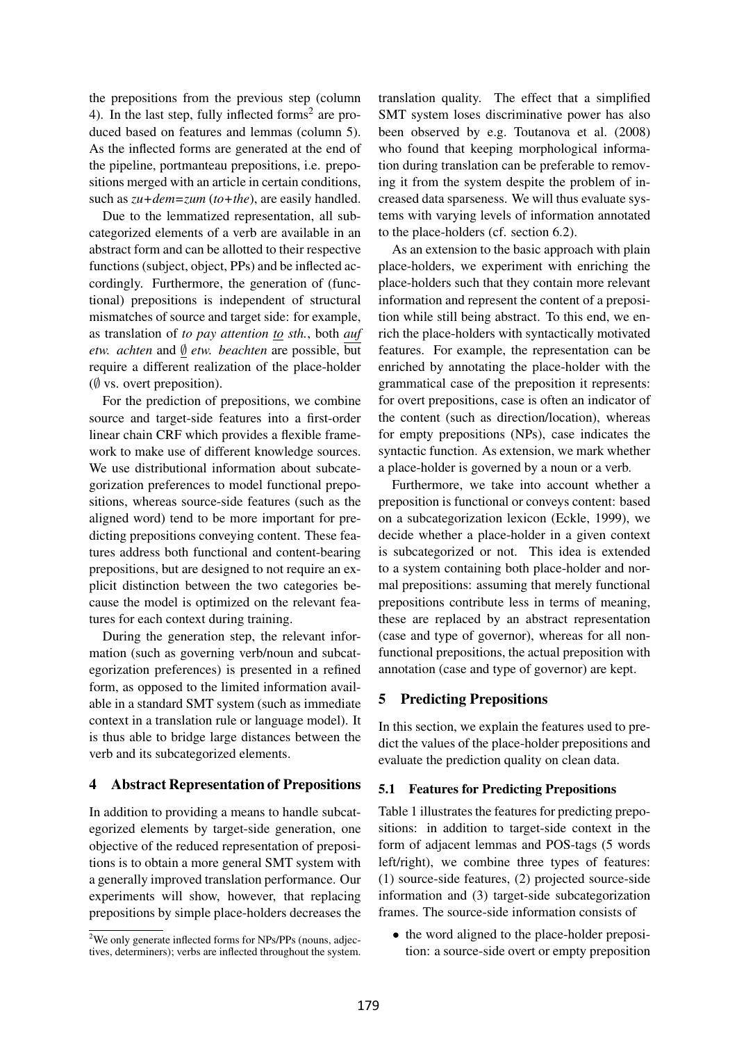the prepositions from the previous step (column 4). In the last step, fully inflected forms<sup>2</sup> are produced based on features and lemmas (column 5). As the inflected forms are generated at the end of the pipeline, portmanteau prepositions, i.e. prepositions merged with an article in certain conditions, such as *zu+dem=zum* (*to+the*), are easily handled.

Due to the lemmatized representation, all subcategorized elements of a verb are available in an abstract form and can be allotted to their respective functions (subject, object, PPs) and be inflected accordingly. Furthermore, the generation of (functional) prepositions is independent of structural mismatches of source and target side: for example, as translation of *to pay attention to sth.*, both *auf etw. achten* and ∅ *etw. beachten* are possible, but require a different realization of the place-holder  $(\emptyset$  vs. overt preposition).

For the prediction of prepositions, we combine source and target-side features into a first-order linear chain CRF which provides a flexible framework to make use of different knowledge sources. We use distributional information about subcategorization preferences to model functional prepositions, whereas source-side features (such as the aligned word) tend to be more important for predicting prepositions conveying content. These features address both functional and content-bearing prepositions, but are designed to not require an explicit distinction between the two categories because the model is optimized on the relevant features for each context during training.

During the generation step, the relevant information (such as governing verb/noun and subcategorization preferences) is presented in a refined form, as opposed to the limited information available in a standard SMT system (such as immediate context in a translation rule or language model). It is thus able to bridge large distances between the verb and its subcategorized elements.

## 4 Abstract Representation of Prepositions

In addition to providing a means to handle subcategorized elements by target-side generation, one objective of the reduced representation of prepositions is to obtain a more general SMT system with a generally improved translation performance. Our experiments will show, however, that replacing prepositions by simple place-holders decreases the translation quality. The effect that a simplified SMT system loses discriminative power has also been observed by e.g. Toutanova et al. (2008) who found that keeping morphological information during translation can be preferable to removing it from the system despite the problem of increased data sparseness. We will thus evaluate systems with varying levels of information annotated to the place-holders (cf. section 6.2).

As an extension to the basic approach with plain place-holders, we experiment with enriching the place-holders such that they contain more relevant information and represent the content of a preposition while still being abstract. To this end, we enrich the place-holders with syntactically motivated features. For example, the representation can be enriched by annotating the place-holder with the grammatical case of the preposition it represents: for overt prepositions, case is often an indicator of the content (such as direction/location), whereas for empty prepositions (NPs), case indicates the syntactic function. As extension, we mark whether a place-holder is governed by a noun or a verb.

Furthermore, we take into account whether a preposition is functional or conveys content: based on a subcategorization lexicon (Eckle, 1999), we decide whether a place-holder in a given context is subcategorized or not. This idea is extended to a system containing both place-holder and normal prepositions: assuming that merely functional prepositions contribute less in terms of meaning, these are replaced by an abstract representation (case and type of governor), whereas for all nonfunctional prepositions, the actual preposition with annotation (case and type of governor) are kept.

## 5 Predicting Prepositions

In this section, we explain the features used to predict the values of the place-holder prepositions and evaluate the prediction quality on clean data.

#### 5.1 Features for Predicting Prepositions

Table 1 illustrates the features for predicting prepositions: in addition to target-side context in the form of adjacent lemmas and POS-tags (5 words left/right), we combine three types of features: (1) source-side features, (2) projected source-side information and (3) target-side subcategorization frames. The source-side information consists of

• the word aligned to the place-holder preposition: a source-side overt or empty preposition

<sup>&</sup>lt;sup>2</sup>We only generate inflected forms for NPs/PPs (nouns, adjectives, determiners); verbs are inflected throughout the system.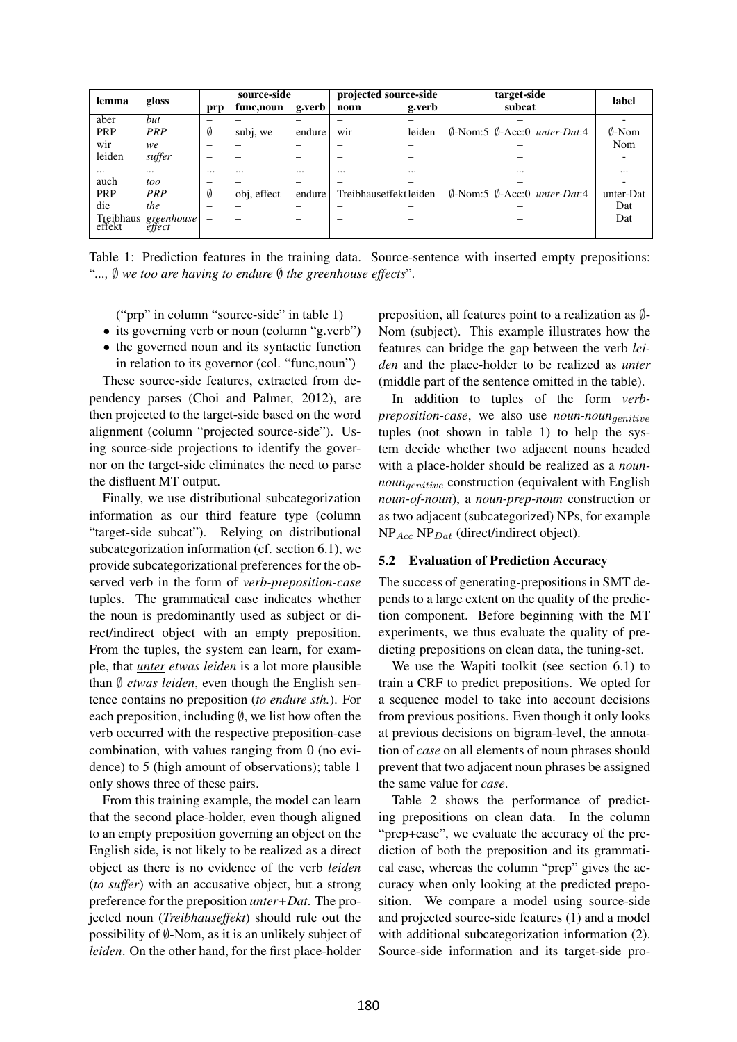| gloss<br>lemma      |            | source-side |             | projected source-side |                        | target-side | label                                                     |                  |
|---------------------|------------|-------------|-------------|-----------------------|------------------------|-------------|-----------------------------------------------------------|------------------|
|                     |            | prp         | func, noun  | g.verb                | noun                   | g.verb      | subcat                                                    |                  |
| aber                | but        |             |             |                       |                        |             |                                                           |                  |
| <b>PRP</b>          | PRP        | Ø           | subj, we    | endure                | wir                    | leiden      | $\emptyset$ -Nom:5 $\emptyset$ -Acc:0 <i>unter-Dat</i> :4 | $\emptyset$ -Nom |
| wir                 | we         |             |             |                       |                        |             |                                                           | Nom              |
| leiden              | suffer     |             |             |                       |                        |             |                                                           |                  |
| $\cdots$            | $\cdots$   | $\cdots$    |             | $\cdots$              | $\cdots$               | $\cdots$    | $\cdots$                                                  |                  |
| auch                | too        |             |             |                       |                        |             |                                                           |                  |
| <b>PRP</b>          | PRP        | Ø           | obj, effect | endure                | Treibhauseffekt leiden |             | $\emptyset$ -Nom:5 $\emptyset$ -Acc:0 <i>unter-Dat</i> :4 | unter-Dat        |
| die                 | the        |             |             |                       |                        |             |                                                           | Dat              |
| Treibhaus<br>effekt | greenhouse | -           |             |                       |                        |             |                                                           | Dat              |

Table 1: Prediction features in the training data. Source-sentence with inserted empty prepositions: "*...,* ∅ *we too are having to endure* ∅ *the greenhouse effects*".

("prp" in column "source-side" in table 1)

- its governing verb or noun (column "g.verb")
- the governed noun and its syntactic function in relation to its governor (col. "func,noun")

These source-side features, extracted from dependency parses (Choi and Palmer, 2012), are then projected to the target-side based on the word alignment (column "projected source-side"). Using source-side projections to identify the governor on the target-side eliminates the need to parse the disfluent MT output.

Finally, we use distributional subcategorization information as our third feature type (column "target-side subcat"). Relying on distributional subcategorization information (cf. section 6.1), we provide subcategorizational preferences for the observed verb in the form of *verb-preposition-case* tuples. The grammatical case indicates whether the noun is predominantly used as subject or direct/indirect object with an empty preposition. From the tuples, the system can learn, for example, that *unter etwas leiden* is a lot more plausible than ∅ *etwas leiden*, even though the English sentence contains no preposition (*to endure sth.*). For each preposition, including  $\emptyset$ , we list how often the verb occurred with the respective preposition-case combination, with values ranging from 0 (no evidence) to 5 (high amount of observations); table 1 only shows three of these pairs.

From this training example, the model can learn that the second place-holder, even though aligned to an empty preposition governing an object on the English side, is not likely to be realized as a direct object as there is no evidence of the verb *leiden* (*to suffer*) with an accusative object, but a strong preference for the preposition *unter+Dat*. The projected noun (*Treibhauseffekt*) should rule out the possibility of  $\emptyset$ -Nom, as it is an unlikely subject of *leiden*. On the other hand, for the first place-holder

preposition, all features point to a realization as ∅- Nom (subject). This example illustrates how the features can bridge the gap between the verb *leiden* and the place-holder to be realized as *unter* (middle part of the sentence omitted in the table).

In addition to tuples of the form *verbpreposition-case*, we also use *noun-noun*genitive tuples (not shown in table 1) to help the system decide whether two adjacent nouns headed with a place-holder should be realized as a *nounnoun<sub>qenitive</sub>* construction (equivalent with English *noun-of-noun*), a *noun-prep-noun* construction or as two adjacent (subcategorized) NPs, for example  $NP_{Acc} NP_{Dat}$  (direct/indirect object).

## 5.2 Evaluation of Prediction Accuracy

The success of generating-prepositions in SMT depends to a large extent on the quality of the prediction component. Before beginning with the MT experiments, we thus evaluate the quality of predicting prepositions on clean data, the tuning-set.

We use the Wapiti toolkit (see section 6.1) to train a CRF to predict prepositions. We opted for a sequence model to take into account decisions from previous positions. Even though it only looks at previous decisions on bigram-level, the annotation of *case* on all elements of noun phrases should prevent that two adjacent noun phrases be assigned the same value for *case*.

Table 2 shows the performance of predicting prepositions on clean data. In the column "prep+case", we evaluate the accuracy of the prediction of both the preposition and its grammatical case, whereas the column "prep" gives the accuracy when only looking at the predicted preposition. We compare a model using source-side and projected source-side features (1) and a model with additional subcategorization information (2). Source-side information and its target-side pro-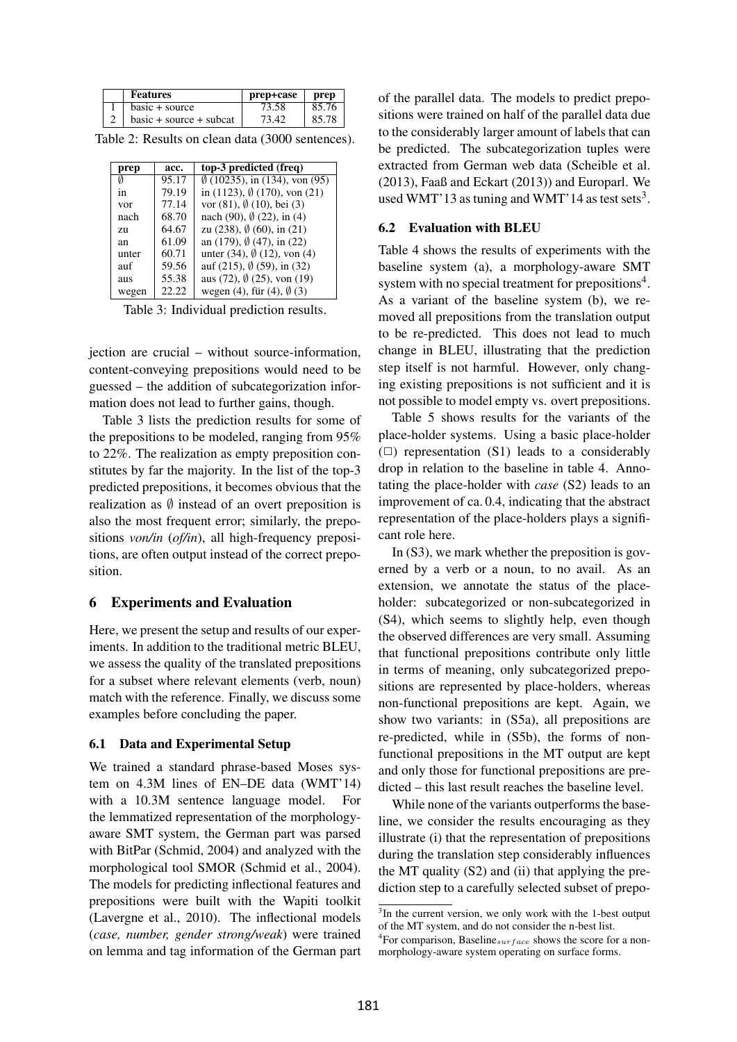| <b>Features</b>           | prep+case | prep  |
|---------------------------|-----------|-------|
| $basic + source$          | 73.58     | 85.76 |
| $basic + source + subcat$ | 73.42     | 85.78 |

Table 2: Results on clean data (3000 sentences).

| prep  | acc.  | top-3 predicted (freq)                         |
|-------|-------|------------------------------------------------|
| Ø     | 95.17 | $\emptyset$ (10235), in (134), von (95)        |
| 1n    | 79.19 | in $(1123)$ , $\emptyset$ $(170)$ , von $(21)$ |
| vor   | 77.14 | vor $(81)$ , $\emptyset$ $(10)$ , bei $(3)$    |
| nach  | 68.70 | nach (90), $\emptyset$ (22), in (4)            |
| 7.U   | 64.67 | zu (238), $\emptyset$ (60), in (21)            |
| an    | 61.09 | an $(179)$ , $\emptyset$ $(47)$ , in $(22)$    |
| unter | 60.71 | unter (34), $\emptyset$ (12), von (4)          |
| auf   | 59.56 | auf (215), $\emptyset$ (59), in (32)           |
| aus   | 55.38 | aus (72), $\emptyset$ (25), von (19)           |
| wegen | 22.22 | wegen (4), für (4), $\emptyset$ (3)            |

Table 3: Individual prediction results.

jection are crucial – without source-information, content-conveying prepositions would need to be guessed – the addition of subcategorization information does not lead to further gains, though.

Table 3 lists the prediction results for some of the prepositions to be modeled, ranging from 95% to 22%. The realization as empty preposition constitutes by far the majority. In the list of the top-3 predicted prepositions, it becomes obvious that the realization as  $\emptyset$  instead of an overt preposition is also the most frequent error; similarly, the prepositions *von/in* (*of/in*), all high-frequency prepositions, are often output instead of the correct preposition.

## 6 Experiments and Evaluation

Here, we present the setup and results of our experiments. In addition to the traditional metric BLEU, we assess the quality of the translated prepositions for a subset where relevant elements (verb, noun) match with the reference. Finally, we discuss some examples before concluding the paper.

# 6.1 Data and Experimental Setup

We trained a standard phrase-based Moses system on 4.3M lines of EN–DE data (WMT'14) with a 10.3M sentence language model. For the lemmatized representation of the morphologyaware SMT system, the German part was parsed with BitPar (Schmid, 2004) and analyzed with the morphological tool SMOR (Schmid et al., 2004). The models for predicting inflectional features and prepositions were built with the Wapiti toolkit (Lavergne et al., 2010). The inflectional models (*case, number, gender strong/weak*) were trained on lemma and tag information of the German part of the parallel data. The models to predict prepositions were trained on half of the parallel data due to the considerably larger amount of labels that can be predicted. The subcategorization tuples were extracted from German web data (Scheible et al. (2013), Faaß and Eckart (2013)) and Europarl. We used WMT'13 as tuning and WMT'14 as test sets<sup>3</sup>.

#### 6.2 Evaluation with BLEU

Table 4 shows the results of experiments with the baseline system (a), a morphology-aware SMT system with no special treatment for prepositions<sup>4</sup>. As a variant of the baseline system (b), we removed all prepositions from the translation output to be re-predicted. This does not lead to much change in BLEU, illustrating that the prediction step itself is not harmful. However, only changing existing prepositions is not sufficient and it is not possible to model empty vs. overt prepositions.

Table 5 shows results for the variants of the place-holder systems. Using a basic place-holder  $(\Box)$  representation (S1) leads to a considerably drop in relation to the baseline in table 4. Annotating the place-holder with *case* (S2) leads to an improvement of ca. 0.4, indicating that the abstract representation of the place-holders plays a significant role here.

In (S3), we mark whether the preposition is governed by a verb or a noun, to no avail. As an extension, we annotate the status of the placeholder: subcategorized or non-subcategorized in (S4), which seems to slightly help, even though the observed differences are very small. Assuming that functional prepositions contribute only little in terms of meaning, only subcategorized prepositions are represented by place-holders, whereas non-functional prepositions are kept. Again, we show two variants: in (S5a), all prepositions are re-predicted, while in (S5b), the forms of nonfunctional prepositions in the MT output are kept and only those for functional prepositions are predicted – this last result reaches the baseline level.

While none of the variants outperforms the baseline, we consider the results encouraging as they illustrate (i) that the representation of prepositions during the translation step considerably influences the MT quality (S2) and (ii) that applying the prediction step to a carefully selected subset of prepo-

<sup>&</sup>lt;sup>3</sup>In the current version, we only work with the 1-best output of the MT system, and do not consider the n-best list.

<sup>&</sup>lt;sup>4</sup>For comparison, Baseline<sub>surface</sub> shows the score for a nonmorphology-aware system operating on surface forms.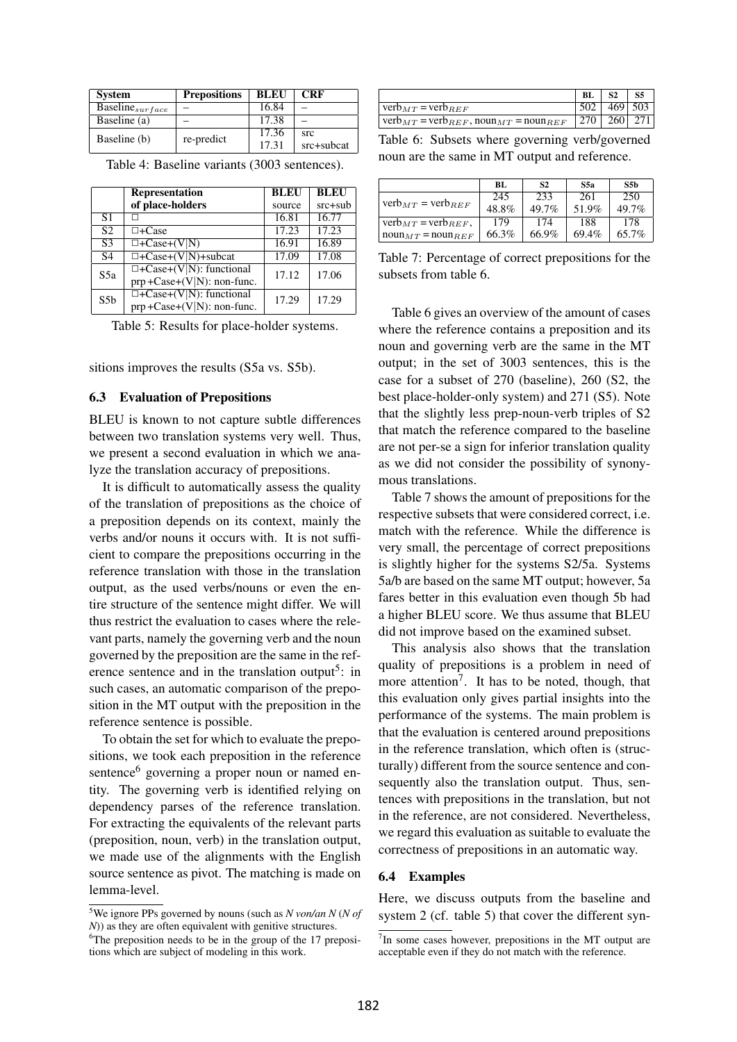| <b>System</b>                          | <b>Prepositions</b> | <b>BLEU</b> | <b>CRF</b> |
|----------------------------------------|---------------------|-------------|------------|
| $\overline{\text{Baseline}}_{surface}$ |                     | 16.84       |            |
| Baseline (a)                           |                     | 17.38       |            |
| Baseline (b)                           | re-predict          | 17.36       | src        |
|                                        |                     | 17.31       | src+subcat |

|                 | <b>Representation</b>                                            | BLEU   | <b>BLEU</b> |
|-----------------|------------------------------------------------------------------|--------|-------------|
|                 | of place-holders                                                 | source | $src + sub$ |
| S <sub>1</sub>  |                                                                  | 16.81  | 16.77       |
| $\overline{S2}$ | $\Box$ +Case                                                     | 17.23  | 17.23       |
| S <sub>3</sub>  | $\Box$ +Case+(V N)                                               | 16.91  | 16.89       |
| S <sub>4</sub>  | $\Box$ +Case+(V N)+subcat                                        | 17.09  | 17.08       |
| S5a             | $\Box$ +Case+(V N): functional<br>$prp + Case+(V N)$ : non-func. | 17.12  | 17.06       |
| S5 <sub>b</sub> | $\Box$ +Case+(V N): functional<br>$prp + Case+(V N)$ : non-func. | 17.29  | 17.29       |

Table 4: Baseline variants (3003 sentences).

Table 5: Results for place-holder systems.

sitions improves the results (S5a vs. S5b).

#### 6.3 Evaluation of Prepositions

BLEU is known to not capture subtle differences between two translation systems very well. Thus, we present a second evaluation in which we analyze the translation accuracy of prepositions.

It is difficult to automatically assess the quality of the translation of prepositions as the choice of a preposition depends on its context, mainly the verbs and/or nouns it occurs with. It is not sufficient to compare the prepositions occurring in the reference translation with those in the translation output, as the used verbs/nouns or even the entire structure of the sentence might differ. We will thus restrict the evaluation to cases where the relevant parts, namely the governing verb and the noun governed by the preposition are the same in the reference sentence and in the translation output<sup>5</sup>: in such cases, an automatic comparison of the preposition in the MT output with the preposition in the reference sentence is possible.

To obtain the set for which to evaluate the prepositions, we took each preposition in the reference sentence<sup>6</sup> governing a proper noun or named entity. The governing verb is identified relying on dependency parses of the reference translation. For extracting the equivalents of the relevant parts (preposition, noun, verb) in the translation output, we made use of the alignments with the English source sentence as pivot. The matching is made on lemma-level.

|                                                                      | BL          | S <sub>2</sub> |             |
|----------------------------------------------------------------------|-------------|----------------|-------------|
| $verb_{MT}$ = $verb_{REF}$                                           |             |                | $469$   503 |
| $\gamma$ verb $_{MT}$ = verb $_{REF}$ , noun $_{MT}$ = noun $_{REF}$ | 270 260 271 |                |             |

Table 6: Subsets where governing verb/governed noun are the same in MT output and reference.

|                                                      | BL.   | S <sub>2</sub> | S5a   | S5b      |
|------------------------------------------------------|-------|----------------|-------|----------|
|                                                      | 245   | 233            | 261   | 250      |
| $verb_{MT} = verb_{REF}$                             | 48.8% | $49.7\%$       | 51.9% | $49.7\%$ |
| $verb_{MT} = verb_{REF}$ ,                           | 179   | 174            | 188   | 178      |
| $\eta_{M}$ noun $\eta_{H}$ = noun $R_{E}$ $\eta_{F}$ | 66.3% | 66.9%          | 69.4% | $65.7\%$ |

Table 7: Percentage of correct prepositions for the subsets from table 6.

Table 6 gives an overview of the amount of cases where the reference contains a preposition and its noun and governing verb are the same in the MT output; in the set of 3003 sentences, this is the case for a subset of 270 (baseline), 260 (S2, the best place-holder-only system) and 271 (S5). Note that the slightly less prep-noun-verb triples of S2 that match the reference compared to the baseline are not per-se a sign for inferior translation quality as we did not consider the possibility of synonymous translations.

Table 7 shows the amount of prepositions for the respective subsets that were considered correct, i.e. match with the reference. While the difference is very small, the percentage of correct prepositions is slightly higher for the systems S2/5a. Systems 5a/b are based on the same MT output; however, 5a fares better in this evaluation even though 5b had a higher BLEU score. We thus assume that BLEU did not improve based on the examined subset.

This analysis also shows that the translation quality of prepositions is a problem in need of more attention<sup>7</sup>. It has to be noted, though, that this evaluation only gives partial insights into the performance of the systems. The main problem is that the evaluation is centered around prepositions in the reference translation, which often is (structurally) different from the source sentence and consequently also the translation output. Thus, sentences with prepositions in the translation, but not in the reference, are not considered. Nevertheless, we regard this evaluation as suitable to evaluate the correctness of prepositions in an automatic way.

#### 6.4 Examples

Here, we discuss outputs from the baseline and system 2 (cf. table 5) that cover the different syn-

<sup>5</sup> We ignore PPs governed by nouns (such as *N von/an N* (*N of N*)) as they are often equivalent with genitive structures.

<sup>&</sup>lt;sup>6</sup>The preposition needs to be in the group of the 17 prepositions which are subject of modeling in this work.

<sup>&</sup>lt;sup>7</sup>In some cases however, prepositions in the MT output are acceptable even if they do not match with the reference.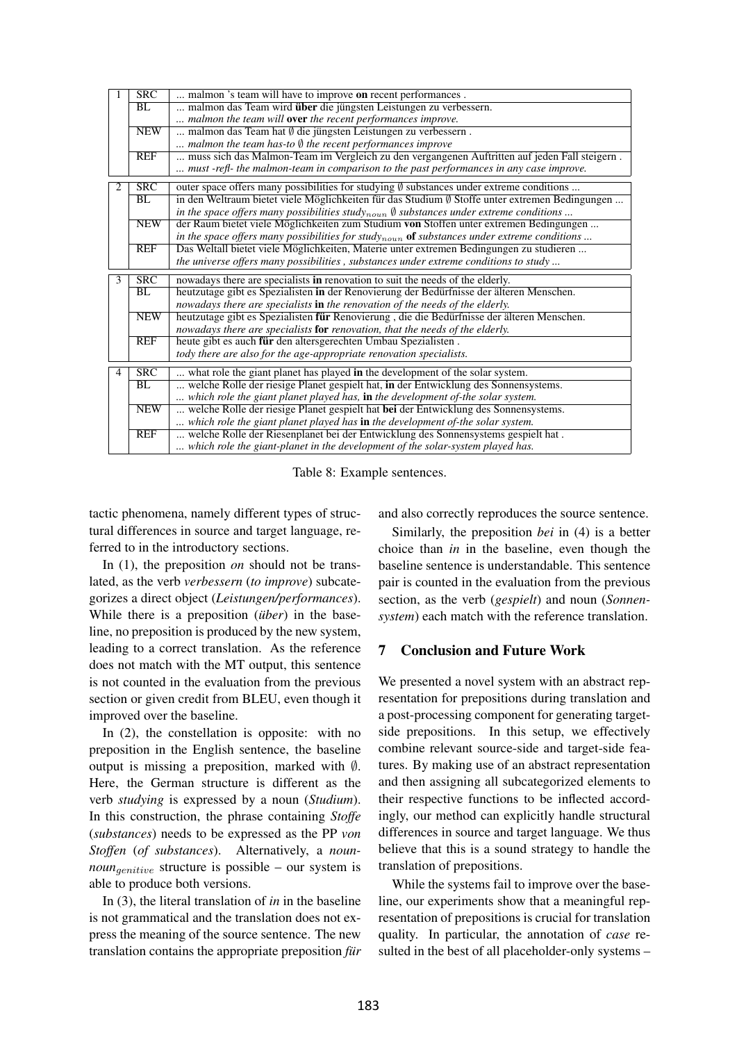|                | SRC                     | malmon 's team will have to improve on recent performances.                                              |
|----------------|-------------------------|----------------------------------------------------------------------------------------------------------|
|                | BL                      | malmon das Team wird über die jüngsten Leistungen zu verbessern.                                         |
|                |                         | malmon the team will <b>over</b> the recent performances improve.                                        |
|                | <b>NEW</b>              | malmon das Team hat Ø die jüngsten Leistungen zu verbessern.                                             |
|                |                         | malmon the team has-to $\emptyset$ the recent performances improve                                       |
|                | <b>REF</b>              | muss sich das Malmon-Team im Vergleich zu den vergangenen Auftritten auf jeden Fall steigern.            |
|                |                         | must -refl- the malmon-team in comparison to the past performances in any case improve.                  |
| 2              | $\overline{\text{SRC}}$ | outer space offers many possibilities for studying $\emptyset$ substances under extreme conditions       |
|                | BL                      | in den Weltraum bietet viele Möglichkeiten für das Studium $\emptyset$ Stoffe unter extremen Bedingungen |
|                |                         | in the space offers many possibilities studynoun $\emptyset$ substances under extreme conditions         |
|                | <b>NEW</b>              | der Raum bietet viele Möglichkeiten zum Studium von Stoffen unter extremen Bedingungen                   |
|                |                         | in the space offers many possibilities for studynoun of substances under extreme conditions              |
|                | <b>REF</b>              | Das Weltall bietet viele Möglichkeiten, Materie unter extremen Bedingungen zu studieren                  |
|                |                         | the universe offers many possibilities, substances under extreme conditions to study                     |
| $\overline{3}$ | SRC                     | nowadays there are specialists in renovation to suit the needs of the elderly.                           |
|                | BL                      | heutzutage gibt es Spezialisten in der Renovierung der Bedürfnisse der älteren Menschen.                 |
|                |                         | nowadays there are specialists in the renovation of the needs of the elderly.                            |
|                | <b>NEW</b>              | heutzutage gibt es Spezialisten für Renovierung, die die Bedürfnisse der älteren Menschen.               |
|                |                         | nowadays there are specialists for renovation, that the needs of the elderly.                            |
|                | <b>REF</b>              | heute gibt es auch für den altersgerechten Umbau Spezialisten.                                           |
|                |                         | tody there are also for the age-appropriate renovation specialists.                                      |
| $\overline{4}$ | SRC                     | what role the giant planet has played in the development of the solar system.                            |
|                | BL                      | welche Rolle der riesige Planet gespielt hat, in der Entwicklung des Sonnensystems.                      |
|                |                         | which role the giant planet played has, in the development of-the solar system.                          |
|                | <b>NEW</b>              | welche Rolle der riesige Planet gespielt hat bei der Entwicklung des Sonnensystems.                      |
|                |                         | which role the giant planet played has in the development of-the solar system.                           |
|                | <b>REF</b>              | welche Rolle der Riesenplanet bei der Entwicklung des Sonnensystems gespielt hat.                        |
|                |                         | which role the giant-planet in the development of the solar-system played has.                           |

Table 8: Example sentences.

tactic phenomena, namely different types of structural differences in source and target language, referred to in the introductory sections.

In (1), the preposition *on* should not be translated, as the verb *verbessern* (*to improve*) subcategorizes a direct object (*Leistungen/performances*). While there is a preposition (*über*) in the baseline, no preposition is produced by the new system, leading to a correct translation. As the reference does not match with the MT output, this sentence is not counted in the evaluation from the previous section or given credit from BLEU, even though it improved over the baseline.

In (2), the constellation is opposite: with no preposition in the English sentence, the baseline output is missing a preposition, marked with  $\emptyset$ . Here, the German structure is different as the verb *studying* is expressed by a noun (*Studium*). In this construction, the phrase containing *Stoffe* (*substances*) needs to be expressed as the PP *von Stoffen* (*of substances*). Alternatively, a *nounnoun<sub>denitive</sub>* structure is possible – our system is able to produce both versions.

In (3), the literal translation of *in* in the baseline is not grammatical and the translation does not express the meaning of the source sentence. The new translation contains the appropriate preposition *fur*  and also correctly reproduces the source sentence.

Similarly, the preposition *bei* in (4) is a better choice than *in* in the baseline, even though the baseline sentence is understandable. This sentence pair is counted in the evaluation from the previous section, as the verb (*gespielt*) and noun (*Sonnensystem*) each match with the reference translation.

# 7 Conclusion and Future Work

We presented a novel system with an abstract representation for prepositions during translation and a post-processing component for generating targetside prepositions. In this setup, we effectively combine relevant source-side and target-side features. By making use of an abstract representation and then assigning all subcategorized elements to their respective functions to be inflected accordingly, our method can explicitly handle structural differences in source and target language. We thus believe that this is a sound strategy to handle the translation of prepositions.

While the systems fail to improve over the baseline, our experiments show that a meaningful representation of prepositions is crucial for translation quality. In particular, the annotation of *case* resulted in the best of all placeholder-only systems –